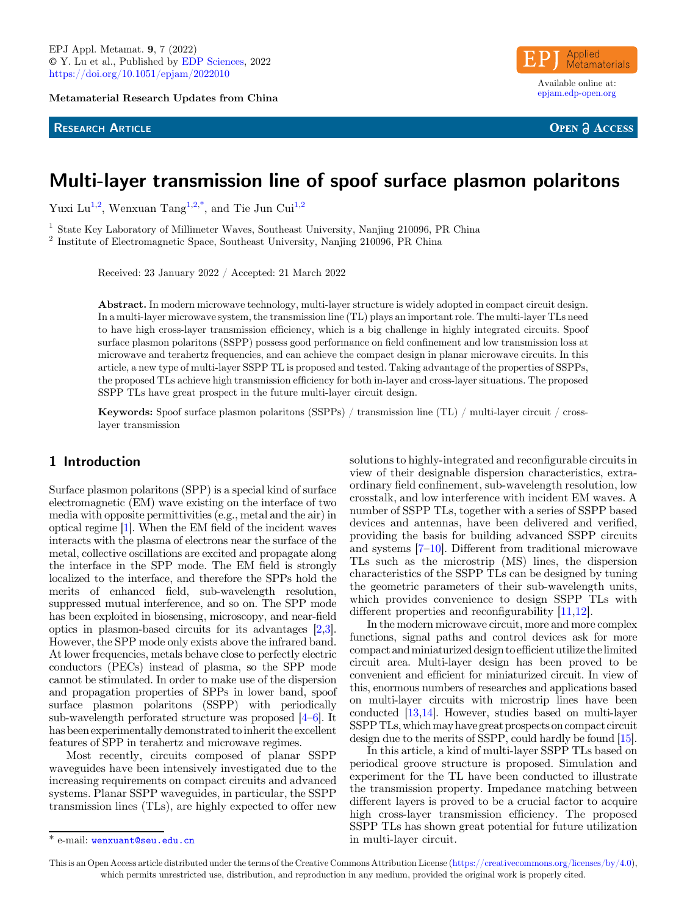Metamaterial Research Updates from China

#### **RESEARCH ARTICLE**



**OPEN & ACCESS** 

# Multi-layer transmission line of spoof surface plasmon polaritons

Yuxi Lu<sup>1,2</sup>, Wenxuan Tang<sup>1,2,\*</sup>[, and Tie Jun Cui](https://orcid.org/)<sup>1,2</sup>

<sup>1</sup> State Key Laboratory of Millimeter Waves, Southeast University, Nanjing 210096, PR China <sup>2</sup> Institute of Electromagnetic Space, Southeast University, Nanjing 210096, PR China

Received: 23 January 2022 / Accepted: 21 March 2022

Abstract. In modern microwave technology, multi-layer structure is widely adopted in compact circuit design. In a multi-layer microwave system, the transmission line (TL) plays an important role. The multi-layer TLs need to have high cross-layer transmission efficiency, which is a big challenge in highly integrated circuits. Spoof surface plasmon polaritons (SSPP) possess good performance on field confinement and low transmission loss at microwave and terahertz frequencies, and can achieve the compact design in planar microwave circuits. In this article, a new type of multi-layer SSPP TL is proposed and tested. Taking advantage of the properties of SSPPs, the proposed TLs achieve high transmission efficiency for both in-layer and cross-layer situations. The proposed SSPP TLs have great prospect in the future multi-layer circuit design.

Keywords: Spoof surface plasmon polaritons (SSPPs) / transmission line (TL) / multi-layer circuit / crosslayer transmission

#### 1 Introduction

Surface plasmon polaritons (SPP) is a special kind of surface electromagnetic (EM) wave existing on the interface of two media with opposite permittivities (e.g., metal and the air) in optical regime [\[1\]](#page-3-0). When the EM field of the incident waves interacts with the plasma of electrons near the surface of the metal, collective oscillations are excited and propagate along the interface in the SPP mode. The EM field is strongly localized to the interface, and therefore the SPPs hold the merits of enhanced field, sub-wavelength resolution, suppressed mutual interference, and so on. The SPP mode has been exploited in biosensing, microscopy, and near-field optics in plasmon-based circuits for its advantages [\[2](#page-3-0),[3\]](#page-3-0). However, the SPP mode only exists above the infrared band. At lower frequencies, metals behave close to perfectly electric conductors (PECs) instead of plasma, so the SPP mode cannot be stimulated. In order to make use of the dispersion and propagation properties of SPPs in lower band, spoof surface plasmon polaritons (SSPP) with periodically sub-wavelength perforated structure was proposed [[4](#page-3-0)–[6](#page-3-0)]. It has been experimentally demonstrated toinherit the excellent features of SPP in terahertz and microwave regimes.

Most recently, circuits composed of planar SSPP waveguides have been intensively investigated due to the increasing requirements on compact circuits and advanced systems. Planar SSPP waveguides, in particular, the SSPP transmission lines (TLs), are highly expected to offer new

solutions to highly-integrated and reconfigurable circuits in view of their designable dispersion characteristics, extraordinary field confinement, sub-wavelength resolution, low crosstalk, and low interference with incident EM waves. A number of SSPP TLs, together with a series of SSPP based devices and antennas, have been delivered and verified, providing the basis for building advanced SSPP circuits and systems [[7](#page-3-0)–[10\]](#page-3-0). Different from traditional microwave TLs such as the microstrip (MS) lines, the dispersion characteristics of the SSPP TLs can be designed by tuning the geometric parameters of their sub-wavelength units, which provides convenience to design SSPP TLs with different properties and reconfigurability [\[11](#page-3-0),[12\]](#page-3-0).

In the modern microwave circuit, more and more complex functions, signal paths and control devices ask for more compact andminiaturized design to efficient utilize thelimited circuit area. Multi-layer design has been proved to be convenient and efficient for miniaturized circuit. In view of this, enormous numbers of researches and applications based on multi-layer circuits with microstrip lines have been conducted [\[13](#page-4-0),[14](#page-4-0)]. However, studies based on multi-layer SSPPTLs, whichmay have great prospects on compact circuit design due to the merits of SSPP, could hardly be found [\[15](#page-4-0)].

In this article, a kind of multi-layer SSPP TLs based on periodical groove structure is proposed. Simulation and experiment for the TL have been conducted to illustrate the transmission property. Impedance matching between different layers is proved to be a crucial factor to acquire high cross-layer transmission efficiency. The proposed SSPP TLs has shown great potential for future utilization \* e-mail: [wenxuant@seu.edu.cn](mailto:wenxuant@seu.edu.cn) in multi-layer circuit.

This is an Open Access article distributed under the terms of the Creative Commons Attribution License [\(https://creativecommons.org/licenses/by/4.0\)](https://creativecommons.org/licenses/by/4.0), which permits unrestricted use, distribution, and reproduction in any medium, provided the original work is properly cited.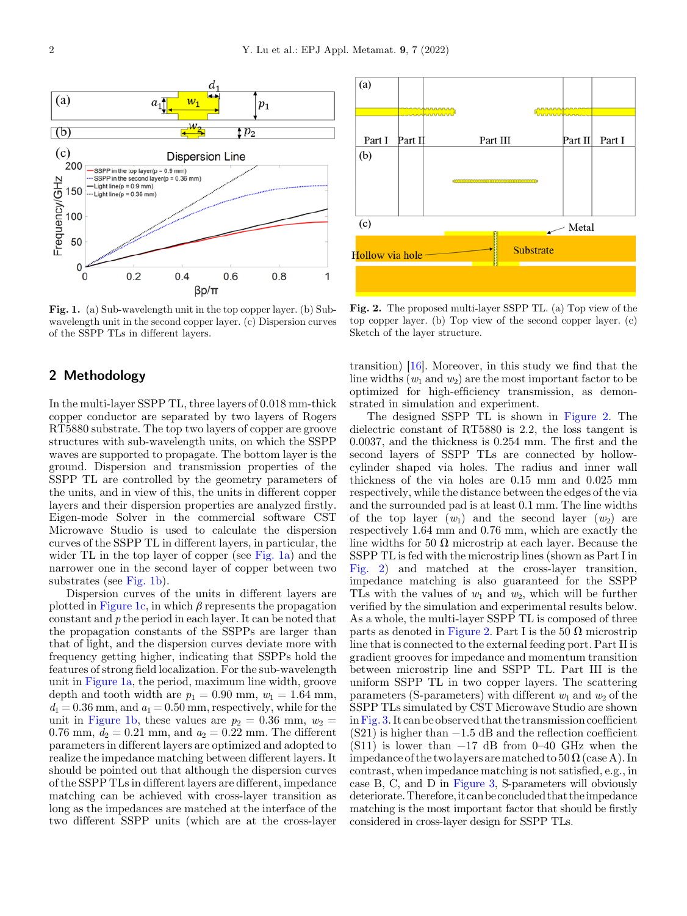

Fig. 1. (a) Sub-wavelength unit in the top copper layer. (b) Subwavelength unit in the second copper layer. (c) Dispersion curves of the SSPP TLs in different layers.

#### 2 Methodology

In the multi-layer SSPP TL, three layers of 0.018 mm-thick copper conductor are separated by two layers of Rogers RT5880 substrate. The top two layers of copper are groove structures with sub-wavelength units, on which the SSPP waves are supported to propagate. The bottom layer is the ground. Dispersion and transmission properties of the SSPP TL are controlled by the geometry parameters of the units, and in view of this, the units in different copper layers and their dispersion properties are analyzed firstly. Eigen-mode Solver in the commercial software CST Microwave Studio is used to calculate the dispersion curves of the SSPP TL in different layers, in particular, the wider TL in the top layer of copper (see Fig. 1a) and the narrower one in the second layer of copper between two substrates (see Fig. 1b).

Dispersion curves of the units in different layers are plotted in Figure 1c, in which  $\beta$  represents the propagation constant and p the period in each layer. It can be noted that the propagation constants of the SSPPs are larger than that of light, and the dispersion curves deviate more with frequency getting higher, indicating that SSPPs hold the features of strong field localization. For the sub-wavelength unit in Figure 1a, the period, maximum line width, groove depth and tooth width are  $p_1 = 0.90$  mm,  $w_1 = 1.64$  mm,  $d_1 = 0.36$  mm, and  $a_1 = 0.50$  mm, respectively, while for the unit in Figure 1b, these values are  $p_2 = 0.36$  mm,  $w_2 =$ 0.76 mm,  $d_2 = 0.21$  mm, and  $a_2 = 0.22$  mm. The different parameters in different layers are optimized and adopted to realize the impedance matching between different layers. It should be pointed out that although the dispersion curves of the SSPP TLs in different layers are different, impedance matching can be achieved with cross-layer transition as long as the impedances are matched at the interface of the two different SSPP units (which are at the cross-layer



Fig. 2. The proposed multi-layer SSPP TL. (a) Top view of the top copper layer. (b) Top view of the second copper layer. (c) Sketch of the layer structure.

transition) [[16\]](#page-4-0). Moreover, in this study we find that the line widths  $(w_1 \text{ and } w_2)$  are the most important factor to be optimized for high-efficiency transmission, as demonstrated in simulation and experiment.

The designed SSPP TL is shown in Figure 2. The dielectric constant of RT5880 is 2.2, the loss tangent is 0.0037, and the thickness is 0.254 mm. The first and the second layers of SSPP TLs are connected by hollowcylinder shaped via holes. The radius and inner wall thickness of the via holes are 0.15 mm and 0.025 mm respectively, while the distance between the edges of the via and the surrounded pad is at least 0.1 mm. The line widths of the top layer  $(w_1)$  and the second layer  $(w_2)$  are respectively 1.64 mm and 0.76 mm, which are exactly the line widths for 50  $\Omega$  microstrip at each layer. Because the SSPP TL is fed with the microstrip lines (shown as Part I in Fig. 2) and matched at the cross-layer transition, impedance matching is also guaranteed for the SSPP TLs with the values of  $w_1$  and  $w_2$ , which will be further verified by the simulation and experimental results below. As a whole, the multi-layer SSPP TL is composed of three parts as denoted in Figure 2. Part I is the 50  $\Omega$  microstrip line that is connected to the external feeding port. Part II is gradient grooves for impedance and momentum transition between microstrip line and SSPP TL. Part III is the uniform SSPP TL in two copper layers. The scattering parameters (S-parameters) with different  $w_1$  and  $w_2$  of the SSPP TLs simulated by CST Microwave Studio are shown in[Fig. 3.](#page-2-0) It can be observed that the transmission coefficient  $(S21)$  is higher than  $-1.5$  dB and the reflection coefficient  $(S11)$  is lower than −17 dB from 0–40 GHz when the impedance of the two layers are matched to  $50\Omega$  (case A). In contrast, when impedance matching is not satisfied, e.g., in case B, C, and D in [Figure 3,](#page-2-0) S-parameters will obviously deteriorate. Therefore, it can be concluded that the impedance matching is the most important factor that should be firstly considered in cross-layer design for SSPP TLs.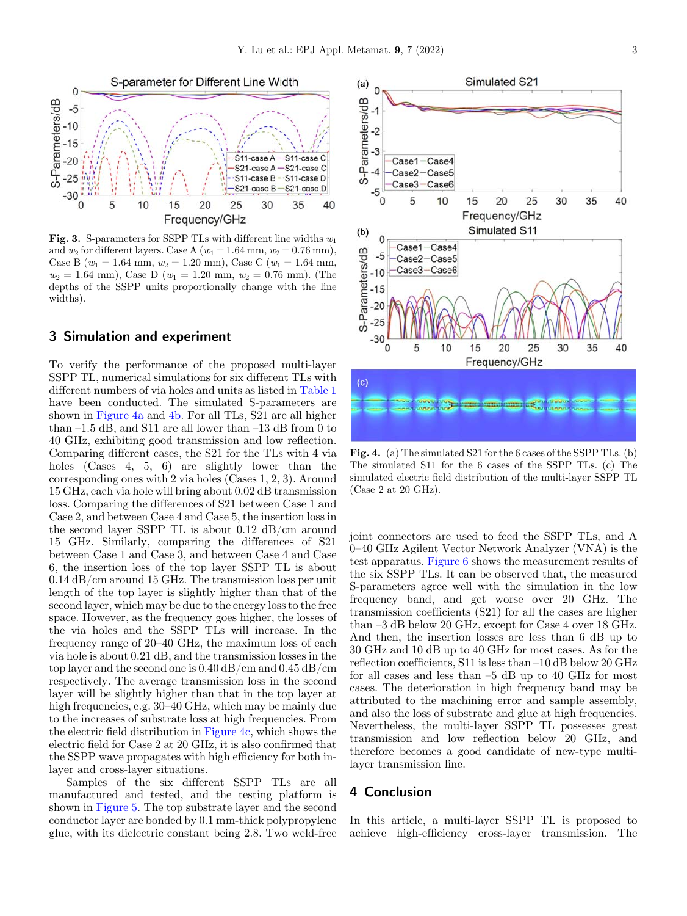<span id="page-2-0"></span>

Fig. 3. S-parameters for SSPP TLs with different line widths  $w_1$ and  $w_2$  for different layers. Case A ( $w_1 = 1.64$  mm,  $w_2 = 0.76$  mm), Case B ( $w_1 = 1.64$  mm,  $w_2 = 1.20$  mm), Case C ( $w_1 = 1.64$  mm,  $w_2 = 1.64$  mm), Case D ( $w_1 = 1.20$  mm,  $w_2 = 0.76$  mm). (The depths of the SSPP units proportionally change with the line widths).

#### 3 Simulation and experiment

To verify the performance of the proposed multi-layer SSPP TL, numerical simulations for six different TLs with different numbers of via holes and units as listed in [Table 1](#page-3-0) have been conducted. The simulated S-parameters are shown in Figure 4a and 4b. For all TLs, S21 are all higher than –1.5 dB, and S11 are all lower than –13 dB from 0 to 40 GHz, exhibiting good transmission and low reflection. Comparing different cases, the S21 for the TLs with 4 via holes (Cases 4, 5, 6) are slightly lower than the corresponding ones with 2 via holes (Cases 1, 2, 3). Around 15 GHz, each via hole will bring about 0.02 dB transmission loss. Comparing the differences of S21 between Case 1 and Case 2, and between Case 4 and Case 5, the insertion loss in the second layer SSPP TL is about 0.12 dB/cm around 15 GHz. Similarly, comparing the differences of S21 between Case 1 and Case 3, and between Case 4 and Case 6, the insertion loss of the top layer SSPP TL is about 0.14 dB/cm around 15 GHz. The transmission loss per unit length of the top layer is slightly higher than that of the second layer, which may be due to the energy loss to the free space. However, as the frequency goes higher, the losses of the via holes and the SSPP TLs will increase. In the frequency range of 20–40 GHz, the maximum loss of each via hole is about 0.21 dB, and the transmission losses in the top layer and the second one is 0.40 dB/cm and 0.45 dB/cm respectively. The average transmission loss in the second layer will be slightly higher than that in the top layer at high frequencies, e.g.  $30-40$  GHz, which may be mainly due to the increases of substrate loss at high frequencies. From the electric field distribution in Figure 4c, which shows the electric field for Case 2 at 20 GHz, it is also confirmed that the SSPP wave propagates with high efficiency for both inlayer and cross-layer situations.

Samples of the six different SSPP TLs are all manufactured and tested, and the testing platform is shown in [Figure 5](#page-3-0). The top substrate layer and the second conductor layer are bonded by 0.1 mm-thick polypropylene glue, with its dielectric constant being 2.8. Two weld-free



Fig. 4. (a) The simulated S21 for the 6 cases of the SSPP TLs. (b) The simulated S11 for the 6 cases of the SSPP TLs. (c) The simulated electric field distribution of the multi-layer SSPP TL (Case 2 at 20 GHz).

joint connectors are used to feed the SSPP TLs, and A 0–40 GHz Agilent Vector Network Analyzer (VNA) is the test apparatus. [Figure 6](#page-3-0) shows the measurement results of the six SSPP TLs. It can be observed that, the measured S-parameters agree well with the simulation in the low frequency band, and get worse over 20 GHz. The transmission coefficients (S21) for all the cases are higher than –3 dB below 20 GHz, except for Case 4 over 18 GHz. And then, the insertion losses are less than 6 dB up to 30 GHz and 10 dB up to 40 GHz for most cases. As for the reflection coefficients, S11 is less than –10 dB below 20 GHz for all cases and less than –5 dB up to 40 GHz for most cases. The deterioration in high frequency band may be attributed to the machining error and sample assembly, and also the loss of substrate and glue at high frequencies. Nevertheless, the multi-layer SSPP TL possesses great transmission and low reflection below 20 GHz, and therefore becomes a good candidate of new-type multilayer transmission line.

## 4 Conclusion

In this article, a multi-layer SSPP TL is proposed to achieve high-efficiency cross-layer transmission. The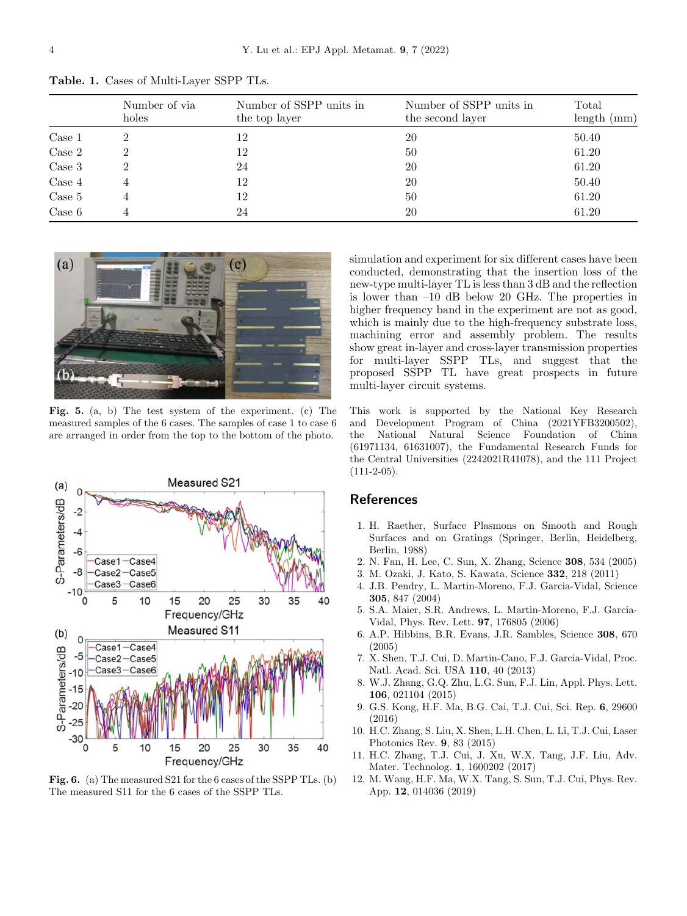|                  | Number of via<br>holes | Number of SSPP units in<br>the top layer | Number of SSPP units in<br>the second layer | Total<br>length (mm) |
|------------------|------------------------|------------------------------------------|---------------------------------------------|----------------------|
| Case 1           |                        | 12                                       | 20                                          | 50.40                |
| Case 2           |                        | 12                                       | 50                                          | 61.20                |
| Case 3           |                        | 24                                       | 20                                          | 61.20                |
| Case 4           |                        | 12                                       | 20                                          | 50.40                |
| Case 5           |                        | 12                                       | 50                                          | 61.20                |
| $\text{Case } 6$ |                        | 24                                       | 20                                          | 61.20                |

<span id="page-3-0"></span>Table. 1. Cases of Multi-Layer SSPP TLs.



Fig. 5. (a, b) The test system of the experiment. (c) The measured samples of the 6 cases. The samples of case 1 to case 6 are arranged in order from the top to the bottom of the photo.



Fig. 6. (a) The measured S21 for the 6 cases of the SSPP TLs. (b) The measured S11 for the 6 cases of the SSPP TLs.

simulation and experiment for six different cases have been conducted, demonstrating that the insertion loss of the new-type multi-layer TL is less than 3 dB and the reflection is lower than –10 dB below 20 GHz. The properties in higher frequency band in the experiment are not as good, which is mainly due to the high-frequency substrate loss, machining error and assembly problem. The results show great in-layer and cross-layer transmission properties for multi-layer SSPP TLs, and suggest that the proposed SSPP TL have great prospects in future multi-layer circuit systems.

This work is supported by the National Key Research and Development Program of China (2021YFB3200502), the National Natural Science Foundation of China (61971134, 61631007), the Fundamental Research Funds for the Central Universities (2242021R41078), and the 111 Project  $(111-2-05)$ .

### **References**

- 1. H. Raether, Surface Plasmons on Smooth and Rough Surfaces and on Gratings (Springer, Berlin, Heidelberg, Berlin, 1988)
- 2. N. Fan, H. Lee, C. Sun, X. Zhang, Science 308, 534 (2005)
- 3. M. Ozaki, J. Kato, S. Kawata, Science 332, 218 (2011)
- 4. J.B. Pendry, L. Martin-Moreno, F.J. Garcia-Vidal, Science 305, 847 (2004)
- 5. S.A. Maier, S.R. Andrews, L. Martin-Moreno, F.J. Garcia-Vidal, Phys. Rev. Lett. 97, 176805 (2006)
- 6. A.P. Hibbins, B.R. Evans, J.R. Sambles, Science 308, 670 (2005)
- 7. X. Shen, T.J. Cui, D. Martin-Cano, F.J. Garcia-Vidal, Proc. Natl. Acad. Sci. USA 110, 40 (2013)
- 8. W.J. Zhang, G.Q. Zhu, L.G. Sun, F.J. Lin, Appl. Phys. Lett. 106, 021104 (2015)
- 9. G.S. Kong, H.F. Ma, B.G. Cai, T.J. Cui, Sci. Rep. 6, 29600 (2016)
- 10. H.C. Zhang, S. Liu, X. Shen, L.H. Chen, L. Li, T.J. Cui, Laser Photonics Rev. 9, 83 (2015)
- 11. H.C. Zhang, T.J. Cui, J. Xu, W.X. Tang, J.F. Liu, Adv. Mater. Technolog. 1, 1600202 (2017)
- 12. M. Wang, H.F. Ma, W.X. Tang, S. Sun, T.J. Cui, Phys. Rev. App. 12, 014036 (2019)